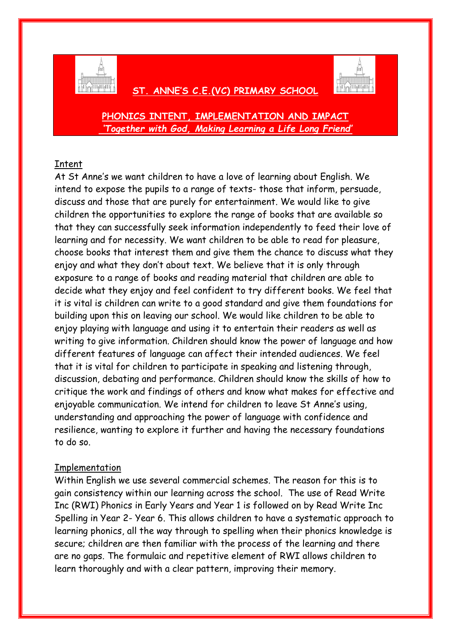

# **ST. ANNE'S C.E.(VC) PRIMARY SCHOOL**



**PHONICS INTENT, IMPLEMENTATION AND IMPACT** *'Together with God, Making Learning a Life Long Friend'*

## Intent

At St Anne's we want children to have a love of learning about English. We intend to expose the pupils to a range of texts- those that inform, persuade, discuss and those that are purely for entertainment. We would like to give children the opportunities to explore the range of books that are available so that they can successfully seek information independently to feed their love of learning and for necessity. We want children to be able to read for pleasure, choose books that interest them and give them the chance to discuss what they enjoy and what they don't about text. We believe that it is only through exposure to a range of books and reading material that children are able to decide what they enjoy and feel confident to try different books. We feel that it is vital is children can write to a good standard and give them foundations for building upon this on leaving our school. We would like children to be able to enjoy playing with language and using it to entertain their readers as well as writing to give information. Children should know the power of language and how different features of language can affect their intended audiences. We feel that it is vital for children to participate in speaking and listening through, discussion, debating and performance. Children should know the skills of how to critique the work and findings of others and know what makes for effective and enjoyable communication. We intend for children to leave St Anne's using, understanding and approaching the power of language with confidence and resilience, wanting to explore it further and having the necessary foundations to do so.

## Implementation

Within English we use several commercial schemes. The reason for this is to gain consistency within our learning across the school. The use of Read Write Inc (RWI) Phonics in Early Years and Year 1 is followed on by Read Write Inc Spelling in Year 2- Year 6. This allows children to have a systematic approach to learning phonics, all the way through to spelling when their phonics knowledge is secure; children are then familiar with the process of the learning and there are no gaps. The formulaic and repetitive element of RWI allows children to learn thoroughly and with a clear pattern, improving their memory.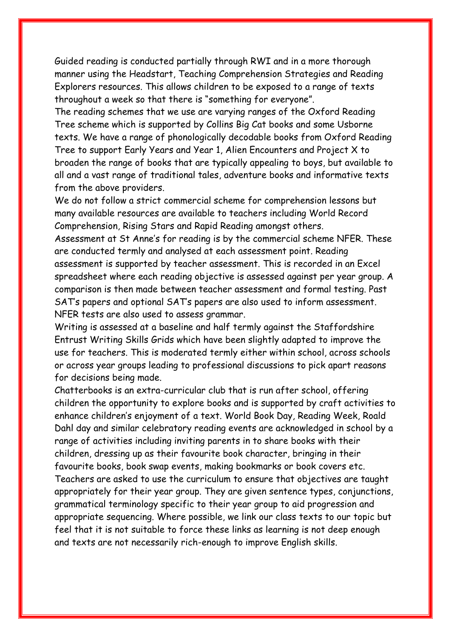Guided reading is conducted partially through RWI and in a more thorough manner using the Headstart, Teaching Comprehension Strategies and Reading Explorers resources. This allows children to be exposed to a range of texts throughout a week so that there is "something for everyone".

The reading schemes that we use are varying ranges of the Oxford Reading Tree scheme which is supported by Collins Big Cat books and some Usborne texts. We have a range of phonologically decodable books from Oxford Reading Tree to support Early Years and Year 1, Alien Encounters and Project X to broaden the range of books that are typically appealing to boys, but available to all and a vast range of traditional tales, adventure books and informative texts from the above providers.

We do not follow a strict commercial scheme for comprehension lessons but many available resources are available to teachers including World Record Comprehension, Rising Stars and Rapid Reading amongst others.

Assessment at St Anne's for reading is by the commercial scheme NFER. These are conducted termly and analysed at each assessment point. Reading assessment is supported by teacher assessment. This is recorded in an Excel spreadsheet where each reading objective is assessed against per year group. A comparison is then made between teacher assessment and formal testing. Past SAT's papers and optional SAT's papers are also used to inform assessment. NFER tests are also used to assess grammar.

Writing is assessed at a baseline and half termly against the Staffordshire Entrust Writing Skills Grids which have been slightly adapted to improve the use for teachers. This is moderated termly either within school, across schools or across year groups leading to professional discussions to pick apart reasons for decisions being made.

Chatterbooks is an extra-curricular club that is run after school, offering children the opportunity to explore books and is supported by craft activities to enhance children's enjoyment of a text. World Book Day, Reading Week, Roald Dahl day and similar celebratory reading events are acknowledged in school by a range of activities including inviting parents in to share books with their children, dressing up as their favourite book character, bringing in their favourite books, book swap events, making bookmarks or book covers etc. Teachers are asked to use the curriculum to ensure that objectives are taught appropriately for their year group. They are given sentence types, conjunctions, grammatical terminology specific to their year group to aid progression and appropriate sequencing. Where possible, we link our class texts to our topic but feel that it is not suitable to force these links as learning is not deep enough and texts are not necessarily rich-enough to improve English skills.